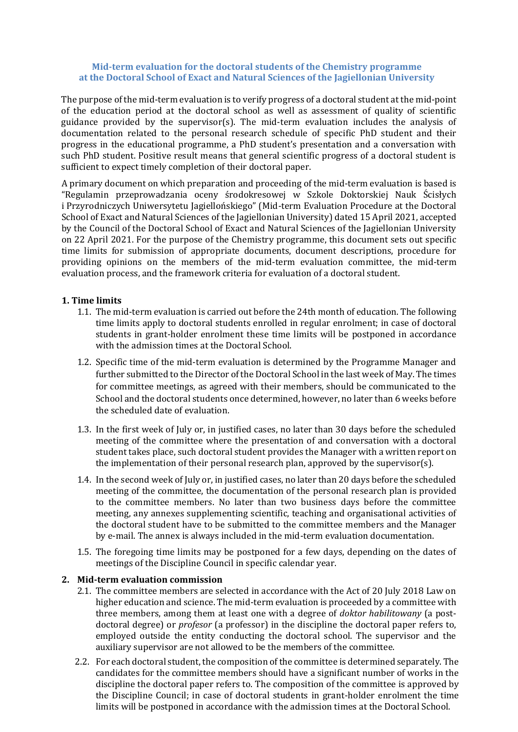### **Mid-term evaluation for the doctoral students of the Chemistry programme at the Doctoral School of Exact and Natural Sciences of the Jagiellonian University**

The purpose of the mid-term evaluation is to verify progress of a doctoral student at the mid-point of the education period at the doctoral school as well as assessment of quality of scientific guidance provided by the supervisor(s). The mid-term evaluation includes the analysis of documentation related to the personal research schedule of specific PhD student and their progress in the educational programme, a PhD student's presentation and a conversation with such PhD student. Positive result means that general scientific progress of a doctoral student is sufficient to expect timely completion of their doctoral paper.

A primary document on which preparation and proceeding of the mid-term evaluation is based is "Regulamin przeprowadzania oceny środokresowej w Szkole Doktorskiej Nauk Ścisłych i Przyrodniczych Uniwersytetu Jagiellońskiego" (Mid-term Evaluation Procedure at the Doctoral School of Exact and Natural Sciences of the Jagiellonian University) dated 15 April 2021, accepted by the Council of the Doctoral School of Exact and Natural Sciences of the Jagiellonian University on 22 April 2021. For the purpose of the Chemistry programme, this document sets out specific time limits for submission of appropriate documents, document descriptions, procedure for providing opinions on the members of the mid-term evaluation committee, the mid-term evaluation process, and the framework criteria for evaluation of a doctoral student.

## **1. Time limits**

- 1.1. The mid-term evaluation is carried out before the 24th month of education. The following time limits apply to doctoral students enrolled in regular enrolment; in case of doctoral students in grant-holder enrolment these time limits will be postponed in accordance with the admission times at the Doctoral School.
- 1.2. Specific time of the mid-term evaluation is determined by the Programme Manager and further submitted to the Director of the Doctoral School in the last week of May. The times for committee meetings, as agreed with their members, should be communicated to the School and the doctoral students once determined, however, no later than 6 weeks before the scheduled date of evaluation.
- 1.3. In the first week of July or, in justified cases, no later than 30 days before the scheduled meeting of the committee where the presentation of and conversation with a doctoral student takes place, such doctoral student provides the Manager with a written report on the implementation of their personal research plan, approved by the supervisor(s).
- 1.4. In the second week of July or, in justified cases, no later than 20 days before the scheduled meeting of the committee, the documentation of the personal research plan is provided to the committee members. No later than two business days before the committee meeting, any annexes supplementing scientific, teaching and organisational activities of the doctoral student have to be submitted to the committee members and the Manager by e-mail. The annex is always included in the mid-term evaluation documentation.
- 1.5. The foregoing time limits may be postponed for a few days, depending on the dates of meetings of the Discipline Council in specific calendar year.

#### **2. Mid-term evaluation commission**

- 2.1. The committee members are selected in accordance with the Act of 20 July 2018 Law on higher education and science. The mid-term evaluation is proceeded by a committee with three members, among them at least one with a degree of *doktor habilitowany* (a postdoctoral degree) or *profesor* (a professor) in the discipline the doctoral paper refers to, employed outside the entity conducting the doctoral school. The supervisor and the auxiliary supervisor are not allowed to be the members of the committee.
- 2.2. For each doctoral student, the composition of the committee is determined separately. The candidates for the committee members should have a significant number of works in the discipline the doctoral paper refers to. The composition of the committee is approved by the Discipline Council; in case of doctoral students in grant-holder enrolment the time limits will be postponed in accordance with the admission times at the Doctoral School.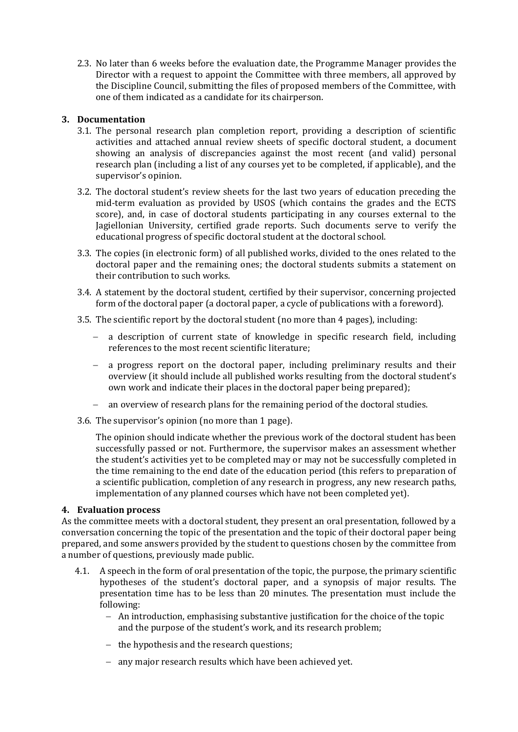2.3. No later than 6 weeks before the evaluation date, the Programme Manager provides the Director with a request to appoint the Committee with three members, all approved by the Discipline Council, submitting the files of proposed members of the Committee, with one of them indicated as a candidate for its chairperson.

## **3. Documentation**

- 3.1. The personal research plan completion report, providing a description of scientific activities and attached annual review sheets of specific doctoral student, a document showing an analysis of discrepancies against the most recent (and valid) personal research plan (including a list of any courses yet to be completed, if applicable), and the supervisor's opinion.
- 3.2. The doctoral student's review sheets for the last two years of education preceding the mid-term evaluation as provided by USOS (which contains the grades and the ECTS score), and, in case of doctoral students participating in any courses external to the Jagiellonian University, certified grade reports. Such documents serve to verify the educational progress of specific doctoral student at the doctoral school.
- 3.3. The copies (in electronic form) of all published works, divided to the ones related to the doctoral paper and the remaining ones; the doctoral students submits a statement on their contribution to such works.
- 3.4. A statement by the doctoral student, certified by their supervisor, concerning projected form of the doctoral paper (a doctoral paper, a cycle of publications with a foreword).
- 3.5. The scientific report by the doctoral student (no more than 4 pages), including:
	- a description of current state of knowledge in specific research field, including references to the most recent scientific literature;
	- a progress report on the doctoral paper, including preliminary results and their overview (it should include all published works resulting from the doctoral student's own work and indicate their places in the doctoral paper being prepared);
	- an overview of research plans for the remaining period of the doctoral studies.
- 3.6. The supervisor's opinion (no more than 1 page).

The opinion should indicate whether the previous work of the doctoral student has been successfully passed or not. Furthermore, the supervisor makes an assessment whether the student's activities yet to be completed may or may not be successfully completed in the time remaining to the end date of the education period (this refers to preparation of a scientific publication, completion of any research in progress, any new research paths, implementation of any planned courses which have not been completed yet).

## **4. Evaluation process**

As the committee meets with a doctoral student, they present an oral presentation, followed by a conversation concerning the topic of the presentation and the topic of their doctoral paper being prepared, and some answers provided by the student to questions chosen by the committee from a number of questions, previously made public.

- 4.1. A speech in the form of oral presentation of the topic, the purpose, the primary scientific hypotheses of the student's doctoral paper, and a synopsis of major results. The presentation time has to be less than 20 minutes. The presentation must include the following:
	- $-$  An introduction, emphasising substantive justification for the choice of the topic and the purpose of the student's work, and its research problem;
	- $-$  the hypothesis and the research questions;
	- any major research results which have been achieved yet.